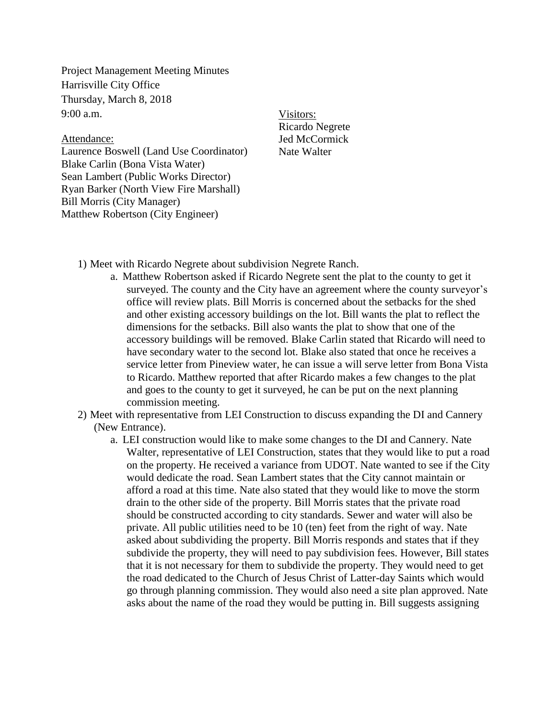Project Management Meeting Minutes Harrisville City Office Thursday, March 8, 2018  $9:00$  a.m.

## Attendance:

Laurence Boswell (Land Use Coordinator) Blake Carlin (Bona Vista Water) Sean Lambert (Public Works Director) Ryan Barker (North View Fire Marshall) Bill Morris (City Manager) Matthew Robertson (City Engineer)

Visitors: Ricardo Negrete Jed McCormick Nate Walter

- 1) Meet with Ricardo Negrete about subdivision Negrete Ranch.
	- a. Matthew Robertson asked if Ricardo Negrete sent the plat to the county to get it surveyed. The county and the City have an agreement where the county surveyor's office will review plats. Bill Morris is concerned about the setbacks for the shed and other existing accessory buildings on the lot. Bill wants the plat to reflect the dimensions for the setbacks. Bill also wants the plat to show that one of the accessory buildings will be removed. Blake Carlin stated that Ricardo will need to have secondary water to the second lot. Blake also stated that once he receives a service letter from Pineview water, he can issue a will serve letter from Bona Vista to Ricardo. Matthew reported that after Ricardo makes a few changes to the plat and goes to the county to get it surveyed, he can be put on the next planning commission meeting.
- 2) Meet with representative from LEI Construction to discuss expanding the DI and Cannery (New Entrance).
	- a. LEI construction would like to make some changes to the DI and Cannery. Nate Walter, representative of LEI Construction, states that they would like to put a road on the property. He received a variance from UDOT. Nate wanted to see if the City would dedicate the road. Sean Lambert states that the City cannot maintain or afford a road at this time. Nate also stated that they would like to move the storm drain to the other side of the property. Bill Morris states that the private road should be constructed according to city standards. Sewer and water will also be private. All public utilities need to be 10 (ten) feet from the right of way. Nate asked about subdividing the property. Bill Morris responds and states that if they subdivide the property, they will need to pay subdivision fees. However, Bill states that it is not necessary for them to subdivide the property. They would need to get the road dedicated to the Church of Jesus Christ of Latter-day Saints which would go through planning commission. They would also need a site plan approved. Nate asks about the name of the road they would be putting in. Bill suggests assigning